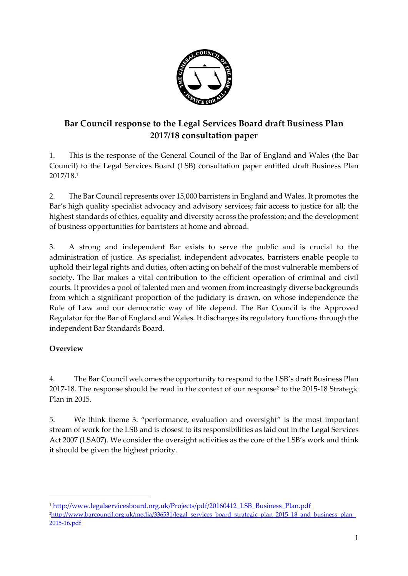

# **Bar Council response to the Legal Services Board draft Business Plan 2017/18 consultation paper**

1. This is the response of the General Council of the Bar of England and Wales (the Bar Council) to the Legal Services Board (LSB) consultation paper entitled draft Business Plan 2017/18. 1

2. The Bar Council represents over 15,000 barristers in England and Wales. It promotes the Bar's high quality specialist advocacy and advisory services; fair access to justice for all; the highest standards of ethics, equality and diversity across the profession; and the development of business opportunities for barristers at home and abroad.

3. A strong and independent Bar exists to serve the public and is crucial to the administration of justice. As specialist, independent advocates, barristers enable people to uphold their legal rights and duties, often acting on behalf of the most vulnerable members of society. The Bar makes a vital contribution to the efficient operation of criminal and civil courts. It provides a pool of talented men and women from increasingly diverse backgrounds from which a significant proportion of the judiciary is drawn, on whose independence the Rule of Law and our democratic way of life depend. The Bar Council is the Approved Regulator for the Bar of England and Wales. It discharges its regulatory functions through the independent Bar Standards Board.

# **Overview**

 $\overline{\phantom{a}}$ 

4. The Bar Council welcomes the opportunity to respond to the LSB's draft Business Plan 2017-18. The response should be read in the context of our response<sup>2</sup> to the 2015-18 Strategic Plan in 2015.

5. We think theme 3: "performance, evaluation and oversight" is the most important stream of work for the LSB and is closest to its responsibilities as laid out in the Legal Services Act 2007 (LSA07). We consider the oversight activities as the core of the LSB's work and think it should be given the highest priority.

<sup>&</sup>lt;sup>1</sup> [http://www.legalservicesboard.org.uk/Projects/pdf/20160412\\_LSB\\_Business\\_Plan.pdf](http://www.legalservicesboard.org.uk/Projects/pdf/20160412_LSB_Business_Plan.pdf) <sup>2</sup>[http://www.barcouncil.org.uk/media/336531/legal\\_services\\_board\\_strategic\\_plan\\_2015\\_18\\_and\\_business\\_plan\\_](http://www.barcouncil.org.uk/media/336531/legal_services_board_strategic_plan_2015_18_and_business_plan_2015-16.pdf) [2015-16.pdf](http://www.barcouncil.org.uk/media/336531/legal_services_board_strategic_plan_2015_18_and_business_plan_2015-16.pdf)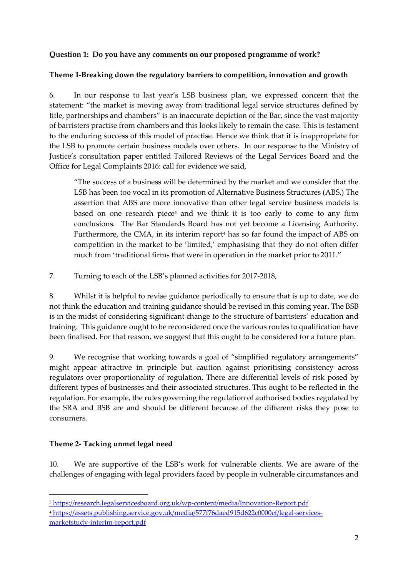## **Question 1: Do you have any comments on our proposed programme of work?**

#### **Theme 1-Breaking down the regulatory barriers to competition, innovation and growth**

6. In our response to last year's LSB business plan, we expressed concern that the statement: "the market is moving away from traditional legal service structures defined by title, partnerships and chambers" is an inaccurate depiction of the Bar, since the vast majority of barristers practise from chambers and this looks likely to remain the case. This is testament to the enduring success of this model of practise. Hence we think that it is inappropriate for the LSB to promote certain business models over others. In our response to the Ministry of Justice's consultation paper entitled Tailored Reviews of the Legal Services Board and the Office for Legal Complaints 2016: call for evidence we said,

"The success of a business will be determined by the market and we consider that the LSB has been too vocal in its promotion of Alternative Business Structures (ABS.) The assertion that ABS are more innovative than other legal service business models is based on one research piece<sup>3</sup> and we think it is too early to come to any firm conclusions. The Bar Standards Board has not yet become a Licensing Authority. Furthermore, the CMA, in its interim report<sup>4</sup> has so far found the impact of ABS on competition in the market to be 'limited,' emphasising that they do not often differ much from 'traditional firms that were in operation in the market prior to 2011."

7. Turning to each of the LSB's planned activities for 2017-2018,

8. Whilst it is helpful to revise guidance periodically to ensure that is up to date, we do not think the education and training guidance should be revised in this coming year. The BSB is in the midst of considering significant change to the structure of barristers' education and training. This guidance ought to be reconsidered once the various routes to qualification have been finalised. For that reason, we suggest that this ought to be considered for a future plan.

9. We recognise that working towards a goal of "simplified regulatory arrangements" might appear attractive in principle but caution against prioritising consistency across regulators over proportionality of regulation. There are differential levels of risk posed by different types of businesses and their associated structures. This ought to be reflected in the regulation. For example, the rules governing the regulation of authorised bodies regulated by the SRA and BSB are and should be different because of the different risks they pose to consumers.

# **Theme 2- Tacking unmet legal need**

**.** 

10. We are supportive of the LSB's work for vulnerable clients. We are aware of the challenges of engaging with legal providers faced by people in vulnerable circumstances and

<sup>3</sup> <https://research.legalservicesboard.org.uk/wp-content/media/Innovation-Report.pdf> <sup>4</sup> [https://assets.publishing.service.gov.uk/media/577f76daed915d622c0000ef/legal-services](https://assets.publishing.service.gov.uk/media/577f76daed915d622c0000ef/legal-services-market-study-interim-report.pdf)[marketstudy-interim-report.pdf](https://assets.publishing.service.gov.uk/media/577f76daed915d622c0000ef/legal-services-market-study-interim-report.pdf)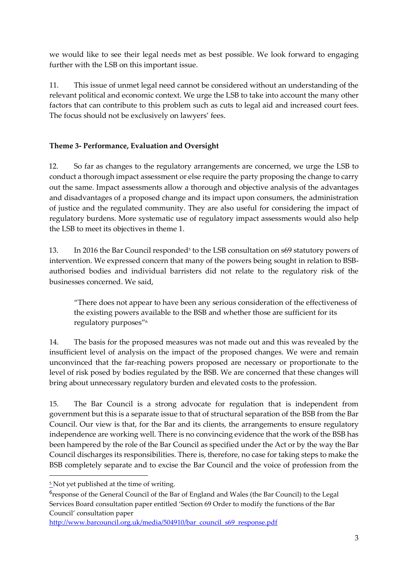we would like to see their legal needs met as best possible. We look forward to engaging further with the LSB on this important issue.

11. This issue of unmet legal need cannot be considered without an understanding of the relevant political and economic context. We urge the LSB to take into account the many other factors that can contribute to this problem such as cuts to legal aid and increased court fees. The focus should not be exclusively on lawyers' fees.

# **Theme 3- Performance, Evaluation and Oversight**

12. So far as changes to the regulatory arrangements are concerned, we urge the LSB to conduct a thorough impact assessment or else require the party proposing the change to carry out the same. Impact assessments allow a thorough and objective analysis of the advantages and disadvantages of a proposed change and its impact upon consumers, the administration of justice and the regulated community. They are also useful for considering the impact of regulatory burdens. More systematic use of regulatory impact assessments would also help the LSB to meet its objectives in theme 1.

13. In 2016 the Bar Council responded<sup>5</sup> to the LSB consultation on  $\frac{1}{9}$  statutory powers of intervention. We expressed concern that many of the powers being sought in relation to BSBauthorised bodies and individual barristers did not relate to the regulatory risk of the businesses concerned. We said,

"There does not appear to have been any serious consideration of the effectiveness of the existing powers available to the BSB and whether those are sufficient for its regulatory purposes"<sup>6</sup>

14. The basis for the proposed measures was not made out and this was revealed by the insufficient level of analysis on the impact of the proposed changes. We were and remain unconvinced that the far-reaching powers proposed are necessary or proportionate to the level of risk posed by bodies regulated by the BSB. We are concerned that these changes will bring about unnecessary regulatory burden and elevated costs to the profession.

15. The Bar Council is a strong advocate for regulation that is independent from government but this is a separate issue to that of structural separation of the BSB from the Bar Council. Our view is that, for the Bar and its clients, the arrangements to ensure regulatory independence are working well. There is no convincing evidence that the work of the BSB has been hampered by the role of the Bar Council as specified under the Act or by the way the Bar Council discharges its responsibilities. There is, therefore, no case for taking steps to make the BSB completely separate and to excise the Bar Council and the voice of profession from the

**.** 

<sup>&</sup>lt;sup>5</sup> Not yet published at the time of writing.

<sup>&</sup>lt;sup>6</sup>response of the General Council of the Bar of England and Wales (the Bar Council) to the Legal Services Board consultation paper entitled 'Section 69 Order to modify the functions of the Bar Council' consultation paper

[http://www.barcouncil.org.uk/media/504910/bar\\_council\\_s69\\_response.pdf](http://www.barcouncil.org.uk/media/504910/bar_council_s69_response.pdf)